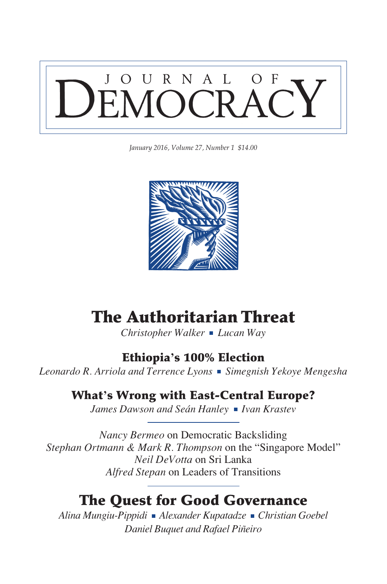

*January 2016, Volume 27, Number 1 \$14.00*



# The Authoritarian Threat

*Christopher Walker Lucan Way*

### Ethiopia**'**s 100% Election

Leonardo R. Arriola and Terrence Lyons **·** Simegnish Yekoye Mengesha

### What**'**s Wrong with East-Central Europe?

James Dawson and Seán Hanley **I** Ivan Krastev

*Nancy Bermeo* on Democratic Backsliding *Stephan Ortmann & Mark R. Thompson* on the "Singapore Model" *Neil DeVotta* on Sri Lanka *Alfred Stepan* on Leaders of Transitions

## The Quest for Good Governance

*Alina Mungiu-Pippidi Alexander Kupatadze Christian Goebel Daniel Buquet and Rafael Piñeiro*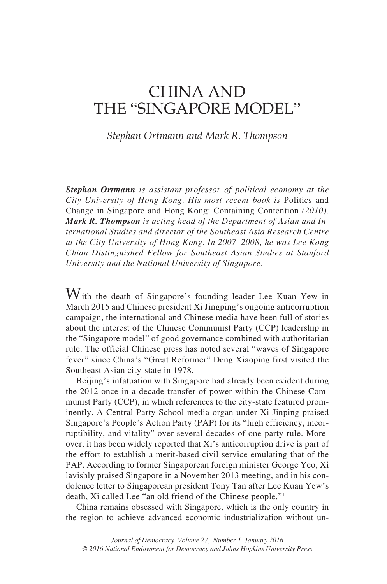## China and the "Singapore Model"

*Stephan Ortmann and Mark R. Thompson*

*Stephan Ortmann is assistant professor of political economy at the City University of Hong Kong. His most recent book is* Politics and Change in Singapore and Hong Kong: Containing Contention *(2010). Mark R. Thompson is acting head of the Department of Asian and International Studies and director of the Southeast Asia Research Centre at the City University of Hong Kong. In 2007–2008, he was Lee Kong Chian Distinguished Fellow for Southeast Asian Studies at Stanford University and the National University of Singapore.*

With the death of Singapore's founding leader Lee Kuan Yew in March 2015 and Chinese president Xi Jingping's ongoing anticorruption campaign, the international and Chinese media have been full of stories about the interest of the Chinese Communist Party (CCP) leadership in the "Singapore model" of good governance combined with authoritarian rule. The official Chinese press has noted several "waves of Singapore fever" since China's "Great Reformer" Deng Xiaoping first visited the Southeast Asian city-state in 1978.

Beijing's infatuation with Singapore had already been evident during the 2012 once-in-a-decade transfer of power within the Chinese Communist Party (CCP), in which references to the city-state featured prominently. A Central Party School media organ under Xi Jinping praised Singapore's People's Action Party (PAP) for its "high efficiency, incorruptibility, and vitality" over several decades of one-party rule. Moreover, it has been widely reported that Xi's anticorruption drive is part of the effort to establish a merit-based civil service emulating that of the PAP. According to former Singaporean foreign minister George Yeo, Xi lavishly praised Singapore in a November 2013 meeting, and in his condolence letter to Singaporean president Tony Tan after Lee Kuan Yew's death, Xi called Lee "an old friend of the Chinese people."1

China remains obsessed with Singapore, which is the only country in the region to achieve advanced economic industrialization without un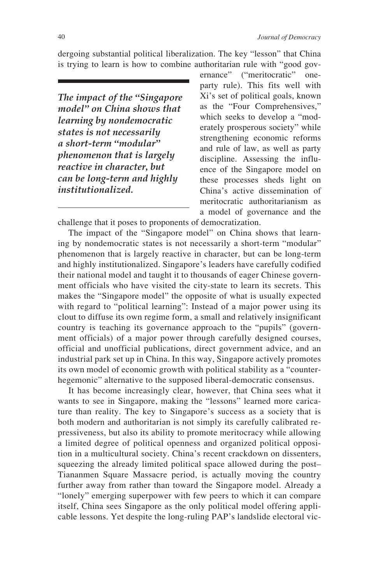dergoing substantial political liberalization. The key "lesson" that China is trying to learn is how to combine authoritarian rule with "good gov-

*The impact of the "Singapore model" on China shows that learning by nondemocratic states is not necessarily a short-term "modular" phenomenon that is largely reactive in character, but can be long-term and highly institutionalized.* 

ernance" ("meritocratic" oneparty rule). This fits well with Xi's set of political goals, known as the "Four Comprehensives," which seeks to develop a "moderately prosperous society" while strengthening economic reforms and rule of law, as well as party discipline. Assessing the influence of the Singapore model on these processes sheds light on China's active dissemination of meritocratic authoritarianism as a model of governance and the

challenge that it poses to proponents of democratization.

The impact of the "Singapore model" on China shows that learning by nondemocratic states is not necessarily a short-term "modular" phenomenon that is largely reactive in character, but can be long-term and highly institutionalized. Singapore's leaders have carefully codified their national model and taught it to thousands of eager Chinese government officials who have visited the city-state to learn its secrets. This makes the "Singapore model" the opposite of what is usually expected with regard to "political learning": Instead of a major power using its clout to diffuse its own regime form, a small and relatively insignificant country is teaching its governance approach to the "pupils" (government officials) of a major power through carefully designed courses, official and unofficial publications, direct government advice, and an industrial park set up in China. In this way, Singapore actively promotes its own model of economic growth with political stability as a "counterhegemonic" alternative to the supposed liberal-democratic consensus.

It has become increasingly clear, however, that China sees what it wants to see in Singapore, making the "lessons" learned more caricature than reality. The key to Singapore's success as a society that is both modern and authoritarian is not simply its carefully calibrated repressiveness, but also its ability to promote meritocracy while allowing a limited degree of political openness and organized political opposition in a multicultural society. China's recent crackdown on dissenters, squeezing the already limited political space allowed during the post– Tiananmen Square Massacre period, is actually moving the country further away from rather than toward the Singapore model. Already a "lonely" emerging superpower with few peers to which it can compare itself, China sees Singapore as the only political model offering applicable lessons. Yet despite the long-ruling PAP's landslide electoral vic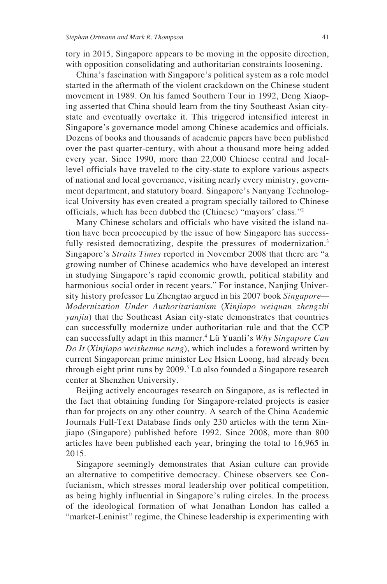tory in 2015, Singapore appears to be moving in the opposite direction, with opposition consolidating and authoritarian constraints loosening.

China's fascination with Singapore's political system as a role model started in the aftermath of the violent crackdown on the Chinese student movement in 1989. On his famed Southern Tour in 1992, Deng Xiaoping asserted that China should learn from the tiny Southeast Asian citystate and eventually overtake it. This triggered intensified interest in Singapore's governance model among Chinese academics and officials. Dozens of books and thousands of academic papers have been published over the past quarter-century, with about a thousand more being added every year. Since 1990, more than 22,000 Chinese central and locallevel officials have traveled to the city-state to explore various aspects of national and local governance, visiting nearly every ministry, government department, and statutory board. Singapore's Nanyang Technological University has even created a program specially tailored to Chinese officials, which has been dubbed the (Chinese) "mayors' class."2

Many Chinese scholars and officials who have visited the island nation have been preoccupied by the issue of how Singapore has successfully resisted democratizing, despite the pressures of modernization.<sup>3</sup> Singapore's *Straits Times* reported in November 2008 that there are "a growing number of Chinese academics who have developed an interest in studying Singapore's rapid economic growth, political stability and harmonious social order in recent years." For instance, Nanjing University history professor Lu Zhengtao argued in his 2007 book *Singapore— Modernization Under Authoritarianism* (*Xinjiapo weiquan zhengzhi yanjiu*) that the Southeast Asian city-state demonstrates that countries can successfully modernize under authoritarian rule and that the CCP can successfully adapt in this manner.4 Lü Yuanli's *Why Singapore Can Do It* (*Xinjiapo weishenme neng*), which includes a foreword written by current Singaporean prime minister Lee Hsien Loong, had already been through eight print runs by 2009.<sup>5</sup> Lü also founded a Singapore research center at Shenzhen University.

Beijing actively encourages research on Singapore, as is reflected in the fact that obtaining funding for Singapore-related projects is easier than for projects on any other country. A search of the China Academic Journals Full-Text Database finds only 230 articles with the term Xinjiapo (Singapore) published before 1992. Since 2008, more than 800 articles have been published each year, bringing the total to 16,965 in 2015.

Singapore seemingly demonstrates that Asian culture can provide an alternative to competitive democracy. Chinese observers see Confucianism, which stresses moral leadership over political competition, as being highly influential in Singapore's ruling circles. In the process of the ideological formation of what Jonathan London has called a "market-Leninist" regime, the Chinese leadership is experimenting with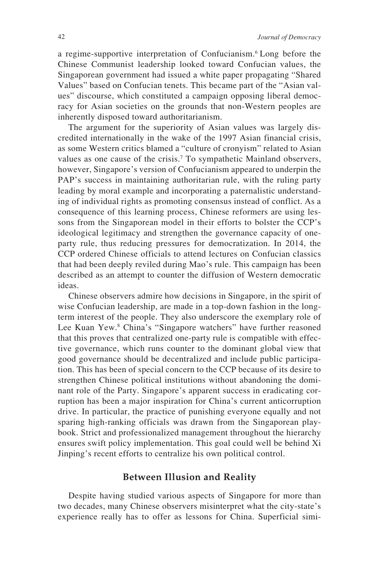a regime-supportive interpretation of Confucianism.6 Long before the Chinese Communist leadership looked toward Confucian values, the Singaporean government had issued a white paper propagating "Shared Values" based on Confucian tenets. This became part of the "Asian values" discourse, which constituted a campaign opposing liberal democracy for Asian societies on the grounds that non-Western peoples are inherently disposed toward authoritarianism.

The argument for the superiority of Asian values was largely discredited internationally in the wake of the 1997 Asian financial crisis, as some Western critics blamed a "culture of cronyism" related to Asian values as one cause of the crisis.<sup>7</sup> To sympathetic Mainland observers, however, Singapore's version of Confucianism appeared to underpin the PAP's success in maintaining authoritarian rule, with the ruling party leading by moral example and incorporating a paternalistic understanding of individual rights as promoting consensus instead of conflict. As a consequence of this learning process, Chinese reformers are using lessons from the Singaporean model in their efforts to bolster the CCP's ideological legitimacy and strengthen the governance capacity of oneparty rule, thus reducing pressures for democratization. In 2014, the CCP ordered Chinese officials to attend lectures on Confucian classics that had been deeply reviled during Mao's rule. This campaign has been described as an attempt to counter the diffusion of Western democratic ideas.

Chinese observers admire how decisions in Singapore, in the spirit of wise Confucian leadership, are made in a top-down fashion in the longterm interest of the people. They also underscore the exemplary role of Lee Kuan Yew.<sup>8</sup> China's "Singapore watchers" have further reasoned that this proves that centralized one-party rule is compatible with effective governance, which runs counter to the dominant global view that good governance should be decentralized and include public participation. This has been of special concern to the CCP because of its desire to strengthen Chinese political institutions without abandoning the dominant role of the Party. Singapore's apparent success in eradicating corruption has been a major inspiration for China's current anticorruption drive. In particular, the practice of punishing everyone equally and not sparing high-ranking officials was drawn from the Singaporean playbook. Strict and professionalized management throughout the hierarchy ensures swift policy implementation. This goal could well be behind Xi Jinping's recent efforts to centralize his own political control.

#### **Between Illusion and Reality**

Despite having studied various aspects of Singapore for more than two decades, many Chinese observers misinterpret what the city-state's experience really has to offer as lessons for China. Superficial simi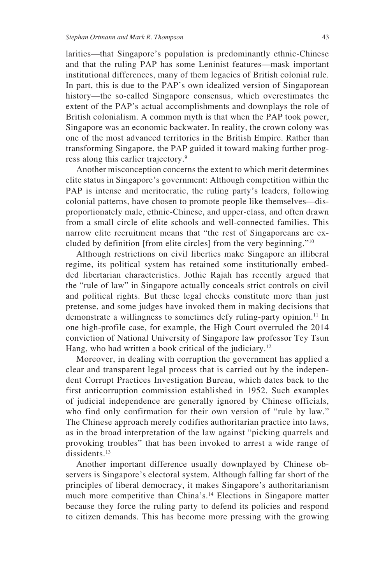larities—that Singapore's population is predominantly ethnic-Chinese and that the ruling PAP has some Leninist features—mask important institutional differences, many of them legacies of British colonial rule. In part, this is due to the PAP's own idealized version of Singaporean history—the so-called Singapore consensus, which overestimates the extent of the PAP's actual accomplishments and downplays the role of British colonialism. A common myth is that when the PAP took power, Singapore was an economic backwater. In reality, the crown colony was one of the most advanced territories in the British Empire. Rather than transforming Singapore, the PAP guided it toward making further progress along this earlier trajectory.9

Another misconception concerns the extent to which merit determines elite status in Singapore's government: Although competition within the PAP is intense and meritocratic, the ruling party's leaders, following colonial patterns, have chosen to promote people like themselves—disproportionately male, ethnic-Chinese, and upper-class, and often drawn from a small circle of elite schools and well-connected families. This narrow elite recruitment means that "the rest of Singaporeans are excluded by definition [from elite circles] from the very beginning."10

Although restrictions on civil liberties make Singapore an illiberal regime, its political system has retained some institutionally embedded libertarian characteristics. Jothie Rajah has recently argued that the "rule of law" in Singapore actually conceals strict controls on civil and political rights. But these legal checks constitute more than just pretense, and some judges have invoked them in making decisions that demonstrate a willingness to sometimes defy ruling-party opinion.<sup>11</sup> In one high-profile case, for example, the High Court overruled the 2014 conviction of National University of Singapore law professor Tey Tsun Hang, who had written a book critical of the judiciary.<sup>12</sup>

Moreover, in dealing with corruption the government has applied a clear and transparent legal process that is carried out by the independent Corrupt Practices Investigation Bureau, which dates back to the first anticorruption commission established in 1952. Such examples of judicial independence are generally ignored by Chinese officials, who find only confirmation for their own version of "rule by law." The Chinese approach merely codifies authoritarian practice into laws, as in the broad interpretation of the law against "picking quarrels and provoking troubles" that has been invoked to arrest a wide range of dissidents.<sup>13</sup>

Another important difference usually downplayed by Chinese observers is Singapore's electoral system. Although falling far short of the principles of liberal democracy, it makes Singapore's authoritarianism much more competitive than China's.14 Elections in Singapore matter because they force the ruling party to defend its policies and respond to citizen demands. This has become more pressing with the growing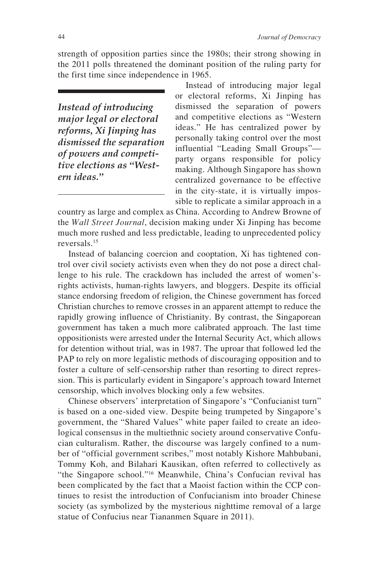strength of opposition parties since the 1980s; their strong showing in the 2011 polls threatened the dominant position of the ruling party for the first time since independence in 1965.

*Instead of introducing major legal or electoral reforms, Xi Jinping has dismissed the separation of powers and competitive elections as "Western ideas."*

Instead of introducing major legal or electoral reforms, Xi Jinping has dismissed the separation of powers and competitive elections as "Western ideas." He has centralized power by personally taking control over the most influential "Leading Small Groups" party organs responsible for policy making. Although Singapore has shown centralized governance to be effective in the city-state, it is virtually impossible to replicate a similar approach in a

country as large and complex as China. According to Andrew Browne of the *Wall Street Journal*, decision making under Xi Jinping has become much more rushed and less predictable, leading to unprecedented policy reversals.15

Instead of balancing coercion and cooptation, Xi has tightened control over civil society activists even when they do not pose a direct challenge to his rule. The crackdown has included the arrest of women'srights activists, human-rights lawyers, and bloggers. Despite its official stance endorsing freedom of religion, the Chinese government has forced Christian churches to remove crosses in an apparent attempt to reduce the rapidly growing influence of Christianity. By contrast, the Singaporean government has taken a much more calibrated approach. The last time oppositionists were arrested under the Internal Security Act, which allows for detention without trial, was in 1987. The uproar that followed led the PAP to rely on more legalistic methods of discouraging opposition and to foster a culture of self-censorship rather than resorting to direct repression. This is particularly evident in Singapore's approach toward Internet censorship, which involves blocking only a few websites.

Chinese observers' interpretation of Singapore's "Confucianist turn" is based on a one-sided view. Despite being trumpeted by Singapore's government, the "Shared Values" white paper failed to create an ideological consensus in the multiethnic society around conservative Confucian culturalism. Rather, the discourse was largely confined to a number of "official government scribes," most notably Kishore Mahbubani, Tommy Koh, and Bilahari Kausikan, often referred to collectively as "the Singapore school."16 Meanwhile, China's Confucian revival has been complicated by the fact that a Maoist faction within the CCP continues to resist the introduction of Confucianism into broader Chinese society (as symbolized by the mysterious nighttime removal of a large statue of Confucius near Tiananmen Square in 2011).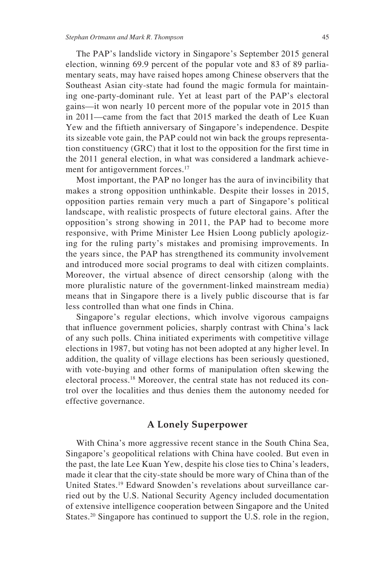The PAP's landslide victory in Singapore's September 2015 general election, winning 69.9 percent of the popular vote and 83 of 89 parliamentary seats, may have raised hopes among Chinese observers that the Southeast Asian city-state had found the magic formula for maintaining one-party-dominant rule. Yet at least part of the PAP's electoral gains—it won nearly 10 percent more of the popular vote in 2015 than in 2011—came from the fact that 2015 marked the death of Lee Kuan Yew and the fiftieth anniversary of Singapore's independence. Despite its sizeable vote gain, the PAP could not win back the groups representation constituency (GRC) that it lost to the opposition for the first time in the 2011 general election, in what was considered a landmark achievement for antigovernment forces.<sup>17</sup>

Most important, the PAP no longer has the aura of invincibility that makes a strong opposition unthinkable. Despite their losses in 2015, opposition parties remain very much a part of Singapore's political landscape, with realistic prospects of future electoral gains. After the opposition's strong showing in 2011, the PAP had to become more responsive, with Prime Minister Lee Hsien Loong publicly apologizing for the ruling party's mistakes and promising improvements. In the years since, the PAP has strengthened its community involvement and introduced more social programs to deal with citizen complaints. Moreover, the virtual absence of direct censorship (along with the more pluralistic nature of the government-linked mainstream media) means that in Singapore there is a lively public discourse that is far less controlled than what one finds in China.

Singapore's regular elections, which involve vigorous campaigns that influence government policies, sharply contrast with China's lack of any such polls. China initiated experiments with competitive village elections in 1987, but voting has not been adopted at any higher level. In addition, the quality of village elections has been seriously questioned, with vote-buying and other forms of manipulation often skewing the electoral process.18 Moreover, the central state has not reduced its control over the localities and thus denies them the autonomy needed for effective governance.

### **A Lonely Superpower**

With China's more aggressive recent stance in the South China Sea, Singapore's geopolitical relations with China have cooled. But even in the past, the late Lee Kuan Yew, despite his close ties to China's leaders, made it clear that the city-state should be more wary of China than of the United States.19 Edward Snowden's revelations about surveillance carried out by the U.S. National Security Agency included documentation of extensive intelligence cooperation between Singapore and the United States.<sup>20</sup> Singapore has continued to support the U.S. role in the region,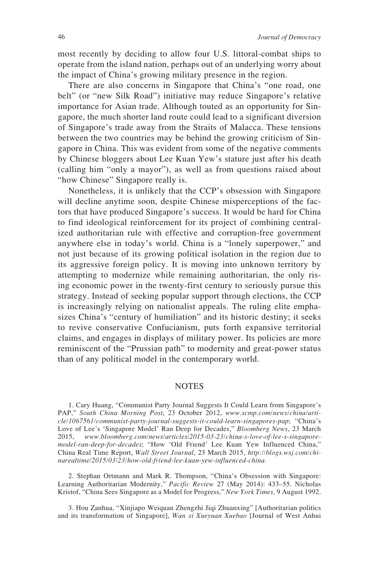most recently by deciding to allow four U.S. littoral-combat ships to operate from the island nation, perhaps out of an underlying worry about the impact of China's growing military presence in the region.

There are also concerns in Singapore that China's "one road, one belt" (or "new Silk Road") initiative may reduce Singapore's relative importance for Asian trade. Although touted as an opportunity for Singapore, the much shorter land route could lead to a significant diversion of Singapore's trade away from the Straits of Malacca. These tensions between the two countries may be behind the growing criticism of Singapore in China. This was evident from some of the negative comments by Chinese bloggers about Lee Kuan Yew's stature just after his death (calling him "only a mayor"), as well as from questions raised about "how Chinese" Singapore really is.

Nonetheless, it is unlikely that the CCP's obsession with Singapore will decline anytime soon, despite Chinese misperceptions of the factors that have produced Singapore's success. It would be hard for China to find ideological reinforcement for its project of combining centralized authoritarian rule with effective and corruption-free government anywhere else in today's world. China is a "lonely superpower," and not just because of its growing political isolation in the region due to its aggressive foreign policy. It is moving into unknown territory by attempting to modernize while remaining authoritarian, the only rising economic power in the twenty-first century to seriously pursue this strategy. Instead of seeking popular support through elections, the CCP is increasingly relying on nationalist appeals. The ruling elite emphasizes China's "century of humiliation" and its historic destiny; it seeks to revive conservative Confucianism, puts forth expansive territorial claims, and engages in displays of military power. Its policies are more reminiscent of the "Prussian path" to modernity and great-power status than of any political model in the contemporary world.

#### **NOTES**

1. Cary Huang, "Communist Party Journal Suggests It Could Learn from Singapore's PAP," *South China Morning Post*, 23 October 2012, *[www.scmp.com/news/china/arti](www.scmp.com/news/china/article/1067561/communist-party-journal-suggests-it-could-learn-singapores-pap)[cle/1067561/communist-party-journal-suggests-it-could-learn-singapores-pap](www.scmp.com/news/china/article/1067561/communist-party-journal-suggests-it-could-learn-singapores-pap)*; "China's Love of Lee's 'Singapore Model' Ran Deep for Decades," *Bloomberg News*, 23 March 2015, *[www.bloomberg.com/news/articles/2015-03-23/china-s-love-of-lee-s-singapore](www.bloomberg.com/news/articles/2015-03-23/china-s-love-of-lee-s-singapore-model-ran-deep-for-decades)[model-ran-deep-for-decades](www.bloomberg.com/news/articles/2015-03-23/china-s-love-of-lee-s-singapore-model-ran-deep-for-decades)*; "How 'Old Friend' Lee Kuan Yew Influenced China," China Real Time Report, *Wall Street Journal*, 23 March 2015, *[http://blogs.wsj.com/chi](http://blogs.wsj.com/chinarealtime/2015/03/23/how-old-friend-lee-kuan-yew-influenced-china)[narealtime/2015/03/23/how-old-friend-lee-kuan-yew-influenced-china.](http://blogs.wsj.com/chinarealtime/2015/03/23/how-old-friend-lee-kuan-yew-influenced-china)*

2. Stephan Ortmann and Mark R. Thompson, "China's Obsession with Singapore: Learning Authoritarian Modernity," *Pacific Review* 27 (May 2014): 433–55. Nicholas Kristof, "China Sees Singapore as a Model for Progress," *New York Times,* 9 August 1992.

3. Hou Zanhua, "Xinjiapo Weiquan Zhengzhi Jiqi Zhuanxing" [Authoritarian politics and its transformation of Singapore], *Wan xi Xueyuan Xuebao* [Journal of West Anhui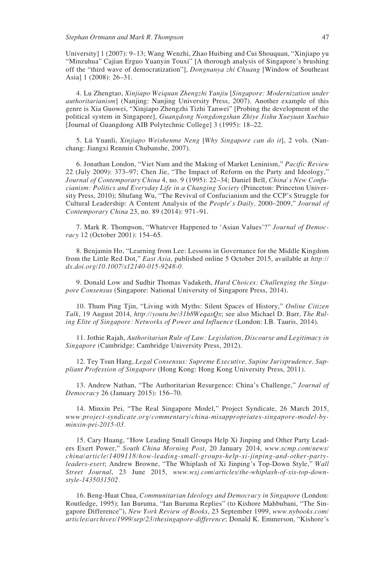University] 1 (2007): 9–13; Wang Wenzhi, Zhao Huibing and Cui Shouquan, "Xinjiapo yu "Minzuhua" Cajian Erguo Yuanyin Touxi" [A thorough analysis of Singapore's brushing off the "third wave of democratization"], *Dongnanya zhi Chuang* [Window of Southeast Asia] 1 (2008): 26–31.

4. Lu Zhengtao, *Xinjiapo Weiquan Zhengzhi Yanjiu* [*Singapore: Modernization under authoritarianism*] (Nanjing: Nanjing University Press, 2007). Another example of this genre is Xia Guowei, "Xinjiapo Zhengzhi Tizhi Tanwei" [Probing the development of the political system in Singapore], *Guangdong Nongdongshan Zhiye Jishu Xueyuan Xuebao* [Journal of Guangdong AIB Polytechnic College] 3 (1995): 18–22.

5. Lü Yuanli, *Xinjiapo Weishenme Neng* [*Why Singapore can do it*], 2 vols. (Nanchang: Jiangxi Renmin Chubanshe, 2007).

6. Jonathan London, "Viet Nam and the Making of Market Leninism," *Pacific Review* 22 (July 2009): 373–97; Chen Jie, "The Impact of Reform on the Party and Ideology," *Journal of Contemporary China* 4, no. 9 (1995): 22–34; Daniel Bell, *China's New Confucianism: Politics and Everyday Life in a Changing Society* (Princeton: Princeton University Press, 2010); Shufang Wu, "The Revival of Confucianism and the CCP's Struggle for Cultural Leadership: A Content Analysis of the *People's Daily,* 2000–2009," *Journal of Contemporary China* 23, no. 89 (2014): 971–91.

7. Mark R. Thompson, "Whatever Happened to 'Asian Values'?" *Journal of Democracy* 12 (October 2001): 154–65.

8. Benjamin Ho, "Learning from Lee: Lessons in Governance for the Middle Kingdom from the Little Red Dot," *East Asia*, published online 5 October 2015, available at *[http://](http://dx.doi.org/10.1007/s12140-015-9248-0) [dx.doi.org/10.1007/s12140-015-9248-0](http://dx.doi.org/10.1007/s12140-015-9248-0).*

9. Donald Low and Sudhir Thomas Vadaketh, *Hard Choices: Challenging the Singapore Consensus* (Singapore: National University of Singapore Press, 2014).

10. Thum Ping Tjin, "Living with Myths: Silent Spaces of History," *Online Citizen Talk*, 19 August 2014, *<http://youtu.be/31b8WeqasQs>*; see also Michael D. Barr, *The Ruling Elite of Singapore: Networks of Power and Influence* (London: I.B. Tauris, 2014).

11. Jothie Rajah, *Authoritarian Rule of Law: Legislation, Discourse and Legitimacy in Singapore* (Cambridge: Cambridge University Press, 2012).

12. Tey Tsun Hang, *Legal Consensus: Supreme Executive, Supine Jurisprudence, Suppliant Profession of Singapore* (Hong Kong: Hong Kong University Press, 2011).

13. Andrew Nathan, "The Authoritarian Resurgence: China's Challenge," *Journal of Democracy* 26 (January 2015): 156–70.

14. Minxin Pei, "The Real Singapore Model," Project Syndicate, 26 March 2015, *[www.project-syndicate.org/commentary/china-misappropriates-singapore-model-by](www.project-syndicate.org/commentary/china-misappropriates-singapore-model-by-minxin-pei-2015-03)[minxin-pei-2015-03](www.project-syndicate.org/commentary/china-misappropriates-singapore-model-by-minxin-pei-2015-03).*

15. Cary Huang, "How Leading Small Groups Help Xi Jinping and Other Party Leaders Exert Power," *South China Morning Post*, 20 January 2014, *[www.scmp.com/news/](www.scmp.com/news/china/article/1409118/how-leading-small-groups-help-xi-jinping-and-other-party-leaders-exert) [china/article/1409118/how-leading-small-groups-help-xi-jinping-and-other-party](www.scmp.com/news/china/article/1409118/how-leading-small-groups-help-xi-jinping-and-other-party-leaders-exert)[leaders-exert](www.scmp.com/news/china/article/1409118/how-leading-small-groups-help-xi-jinping-and-other-party-leaders-exert)*; Andrew Browne, "The Whiplash of Xi Jinping's Top-Down Style," *Wall Street Journal*, 23 June 2015, *[www.wsj.com/articles/the-whiplash-of-xis-top-down](www.wsj.com/articles/the-whiplash-of-xis-top-down-style-1435031502)[style-1435031502.](www.wsj.com/articles/the-whiplash-of-xis-top-down-style-1435031502)*

16. Beng-Huat Chua, *Communitarian Ideology and Democracy in Singapore* (London: Routledge, 1995); Ian Buruma, "Ian Buruma Replies" (to Kishore Mahbubani, "The Singapore Difference"), *New York Review of Books*, 23 September 1999, *[www.nybooks.com/](www.nybooks.com/articles/archives/1999/sep/23/thesingapore-difference) [articles/archives/1999/sep/23/thesingapore-difference](www.nybooks.com/articles/archives/1999/sep/23/thesingapore-difference)*; Donald K. Emmerson, "Kishore's